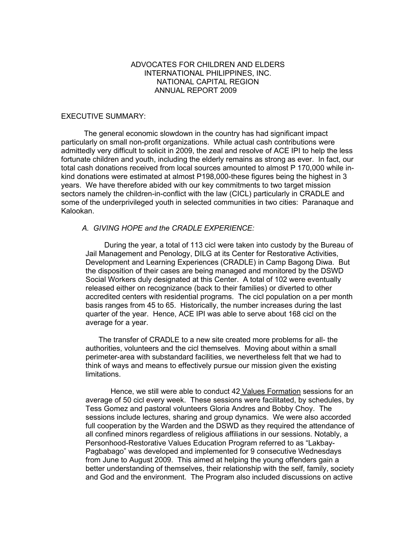## ADVOCATES FOR CHILDREN AND ELDERS INTERNATIONAL PHILIPPINES, INC. NATIONAL CAPITAL REGION ANNUAL REPORT 2009

### EXECUTIVE SUMMARY:

 The general economic slowdown in the country has had significant impact particularly on small non-profit organizations. While actual cash contributions were admittedly very difficult to solicit in 2009, the zeal and resolve of ACE IPI to help the less fortunate children and youth, including the elderly remains as strong as ever. In fact, our total cash donations received from local sources amounted to almost P 170,000 while inkind donations were estimated at almost P198,000-these figures being the highest in 3 years. We have therefore abided with our key commitments to two target mission sectors namely the children-in-conflict with the law (CICL) particularly in CRADLE and some of the underprivileged youth in selected communities in two cities: Paranaque and Kalookan.

### *A. GIVING HOPE and the CRADLE EXPERIENCE:*

 During the year, a total of 113 cicl were taken into custody by the Bureau of Jail Management and Penology, DILG at its Center for Restorative Activities, Development and Learning Experiences (CRADLE) in Camp Bagong Diwa. But the disposition of their cases are being managed and monitored by the DSWD Social Workers duly designated at this Center. A total of 102 were eventually released either on recognizance (back to their families) or diverted to other accredited centers with residential programs. The cicl population on a per month basis ranges from 45 to 65. Historically, the number increases during the last quarter of the year. Hence, ACE IPI was able to serve about 168 cicl on the average for a year.

 The transfer of CRADLE to a new site created more problems for all- the authorities, volunteers and the cicl themselves. Moving about within a small perimeter-area with substandard facilities, we nevertheless felt that we had to think of ways and means to effectively pursue our mission given the existing limitations.

Hence, we still were able to conduct 42 Values Formation sessions for an average of 50 cicl every week. These sessions were facilitated, by schedules, by Tess Gomez and pastoral volunteers Gloria Andres and Bobby Choy. The sessions include lectures, sharing and group dynamics. We were also accorded full cooperation by the Warden and the DSWD as they required the attendance of all confined minors regardless of religious affiliations in our sessions. Notably, a Personhood-Restorative Values Education Program referred to as "Lakbay-Pagbabago" was developed and implemented for 9 consecutive Wednesdays from June to August 2009. This aimed at helping the young offenders gain a better understanding of themselves, their relationship with the self, family, society and God and the environment. The Program also included discussions on active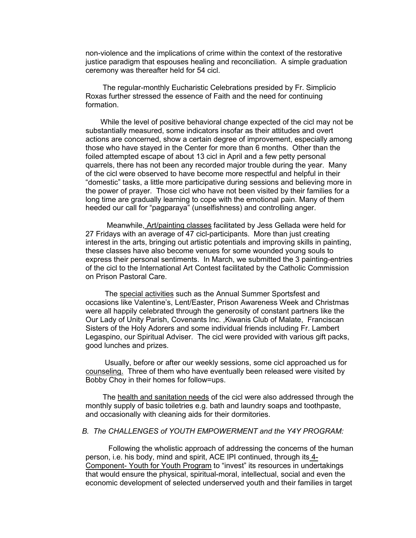non-violence and the implications of crime within the context of the restorative justice paradigm that espouses healing and reconciliation. A simple graduation ceremony was thereafter held for 54 cicl.

 The regular-monthly Eucharistic Celebrations presided by Fr. Simplicio Roxas further stressed the essence of Faith and the need for continuing formation.

 While the level of positive behavioral change expected of the cicl may not be substantially measured, some indicators insofar as their attitudes and overt actions are concerned, show a certain degree of improvement, especially among those who have stayed in the Center for more than 6 months. Other than the foiled attempted escape of about 13 cicl in April and a few petty personal quarrels, there has not been any recorded major trouble during the year. Many of the cicl were observed to have become more respectful and helpful in their "domestic" tasks, a little more participative during sessions and believing more in the power of prayer. Those cicl who have not been visited by their families for a long time are gradually learning to cope with the emotional pain. Many of them heeded our call for "pagparaya" (unselfishness) and controlling anger.

 Meanwhile, Art/painting classes facilitated by Jess Gellada were held for 27 Fridays with an average of 47 cicl-participants. More than just creating interest in the arts, bringing out artistic potentials and improving skills in painting, these classes have also become venues for some wounded young souls to express their personal sentiments. In March, we submitted the 3 painting-entries of the cicl to the International Art Contest facilitated by the Catholic Commission on Prison Pastoral Care.

 The special activities such as the Annual Summer Sportsfest and occasions like Valentine's, Lent/Easter, Prison Awareness Week and Christmas were all happily celebrated through the generosity of constant partners like the Our Lady of Unity Parish, Covenants Inc. ,Kiwanis Club of Malate, Franciscan Sisters of the Holy Adorers and some individual friends including Fr. Lambert Legaspino, our Spiritual Adviser. The cicl were provided with various gift packs, good lunches and prizes.

 Usually, before or after our weekly sessions, some cicl approached us for counseling. Three of them who have eventually been released were visited by Bobby Choy in their homes for follow=ups.

 The health and sanitation needs of the cicl were also addressed through the monthly supply of basic toiletries e.g. bath and laundry soaps and toothpaste, and occasionally with cleaning aids for their dormitories.

## *B. The CHALLENGES of YOUTH EMPOWERMENT and the Y4Y PROGRAM:*

 Following the wholistic approach of addressing the concerns of the human person, i.e. his body, mind and spirit, ACE IPI continued, through its 4- Component- Youth for Youth Program to "invest" its resources in undertakings that would ensure the physical, spiritual-moral, intellectual, social and even the economic development of selected underserved youth and their families in target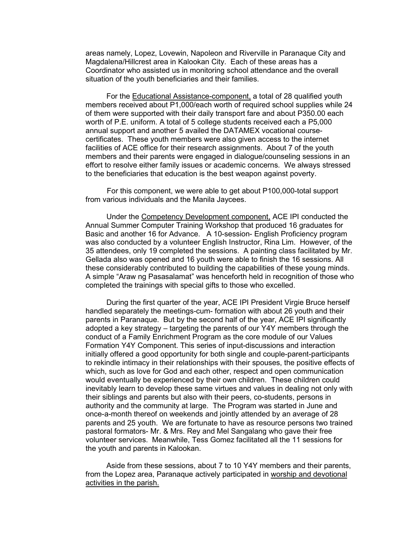areas namely, Lopez, Lovewin, Napoleon and Riverville in Paranaque City and Magdalena/Hillcrest area in Kalookan City. Each of these areas has a Coordinator who assisted us in monitoring school attendance and the overall situation of the youth beneficiaries and their families.

 For the Educational Assistance-component, a total of 28 qualified youth members received about P1,000/each worth of required school supplies while 24 of them were supported with their daily transport fare and about P350.00 each worth of P.E. uniform. A total of 5 college students received each a P5,000 annual support and another 5 availed the DATAMEX vocational coursecertificates. These youth members were also given access to the internet facilities of ACE office for their research assignments. About 7 of the youth members and their parents were engaged in dialogue/counseling sessions in an effort to resolve either family issues or academic concerns. We always stressed to the beneficiaries that education is the best weapon against poverty.

 For this component, we were able to get about P100,000-total support from various individuals and the Manila Jaycees.

 Under the Competency Development component, ACE IPI conducted the Annual Summer Computer Training Workshop that produced 16 graduates for Basic and another 16 for Advance. A 10-session- English Proficiency program was also conducted by a volunteer English Instructor, Rina Lim. However, of the 35 attendees, only 19 completed the sessions. A painting class facilitated by Mr. Gellada also was opened and 16 youth were able to finish the 16 sessions. All these considerably contributed to building the capabilities of these young minds. A simple "Araw ng Pasasalamat" was henceforth held in recognition of those who completed the trainings with special gifts to those who excelled.

 During the first quarter of the year, ACE IPI President Virgie Bruce herself handled separately the meetings-cum- formation with about 26 youth and their parents in Paranaque. But by the second half of the year, ACE IPI significantly adopted a key strategy – targeting the parents of our Y4Y members through the conduct of a Family Enrichment Program as the core module of our Values Formation Y4Y Component. This series of input-discussions and interaction initially offered a good opportunity for both single and couple-parent-participants to rekindle intimacy in their relationships with their spouses, the positive effects of which, such as love for God and each other, respect and open communication would eventually be experienced by their own children. These children could inevitably learn to develop these same virtues and values in dealing not only with their siblings and parents but also with their peers, co-students, persons in authority and the community at large. The Program was started in June and once-a-month thereof on weekends and jointly attended by an average of 28 parents and 25 youth. We are fortunate to have as resource persons two trained pastoral formators- Mr. & Mrs. Rey and Mel Sangalang who gave their free volunteer services. Meanwhile, Tess Gomez facilitated all the 11 sessions for the youth and parents in Kalookan.

 Aside from these sessions, about 7 to 10 Y4Y members and their parents, from the Lopez area, Paranaque actively participated in worship and devotional activities in the parish.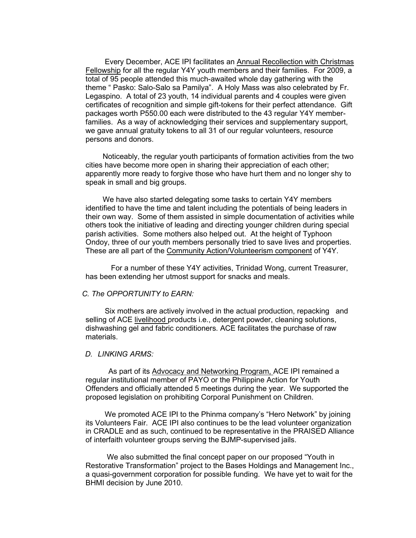Every December, ACE IPI facilitates an Annual Recollection with Christmas Fellowship for all the regular Y4Y youth members and their families. For 2009, a total of 95 people attended this much-awaited whole day gathering with the theme " Pasko: Salo-Salo sa Pamilya". A Holy Mass was also celebrated by Fr. Legaspino. A total of 23 youth, 14 individual parents and 4 couples were given certificates of recognition and simple gift-tokens for their perfect attendance. Gift packages worth P550.00 each were distributed to the 43 regular Y4Y memberfamilies. As a way of acknowledging their services and supplementary support, we gave annual gratuity tokens to all 31 of our regular volunteers, resource persons and donors.

 Noticeably, the regular youth participants of formation activities from the two cities have become more open in sharing their appreciation of each other; apparently more ready to forgive those who have hurt them and no longer shy to speak in small and big groups.

 We have also started delegating some tasks to certain Y4Y members identified to have the time and talent including the potentials of being leaders in their own way. Some of them assisted in simple documentation of activities while others took the initiative of leading and directing younger children during special parish activities. Some mothers also helped out. At the height of Typhoon Ondoy, three of our youth members personally tried to save lives and properties. These are all part of the Community Action/Volunteerism component of Y4Y.

 For a number of these Y4Y activities, Trinidad Wong, current Treasurer, has been extending her utmost support for snacks and meals.

#### *C. The OPPORTUNITY to EARN:*

 Six mothers are actively involved in the actual production, repacking and selling of ACE livelihood products i.e., detergent powder, cleaning solutions, dishwashing gel and fabric conditioners. ACE facilitates the purchase of raw materials.

### *D. LINKING ARMS:*

 As part of its Advocacy and Networking Program, ACE IPI remained a regular institutional member of PAYO or the Philippine Action for Youth Offenders and officially attended 5 meetings during the year. We supported the proposed legislation on prohibiting Corporal Punishment on Children.

 We promoted ACE IPI to the Phinma company's "Hero Network" by joining its Volunteers Fair. ACE IPI also continues to be the lead volunteer organization in CRADLE and as such, continued to be representative in the PRAISED Alliance of interfaith volunteer groups serving the BJMP-supervised jails.

 We also submitted the final concept paper on our proposed "Youth in Restorative Transformation" project to the Bases Holdings and Management Inc., a quasi-government corporation for possible funding. We have yet to wait for the BHMI decision by June 2010.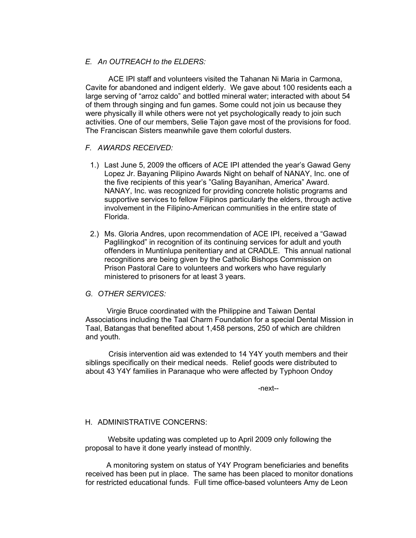# *E. An OUTREACH to the ELDERS:*

 ACE IPI staff and volunteers visited the Tahanan Ni Maria in Carmona, Cavite for abandoned and indigent elderly. We gave about 100 residents each a large serving of "arroz caldo" and bottled mineral water; interacted with about 54 of them through singing and fun games. Some could not join us because they were physically ill while others were not yet psychologically ready to join such activities. One of our members, Selie Tajon gave most of the provisions for food. The Franciscan Sisters meanwhile gave them colorful dusters.

# *F. AWARDS RECEIVED:*

- 1.) Last June 5, 2009 the officers of ACE IPI attended the year's Gawad Geny Lopez Jr. Bayaning Pilipino Awards Night on behalf of NANAY, Inc. one of the five recipients of this year's "Galing Bayanihan, America" Award. NANAY, Inc. was recognized for providing concrete holistic programs and supportive services to fellow Filipinos particularly the elders, through active involvement in the Filipino-American communities in the entire state of Florida.
- 2.) Ms. Gloria Andres, upon recommendation of ACE IPI, received a "Gawad Paglilingkod" in recognition of its continuing services for adult and youth offenders in Muntinlupa penitentiary and at CRADLE. This annual national recognitions are being given by the Catholic Bishops Commission on Prison Pastoral Care to volunteers and workers who have regularly ministered to prisoners for at least 3 years.

## *G. OTHER SERVICES:*

 Virgie Bruce coordinated with the Philippine and Taiwan Dental Associations including the Taal Charm Foundation for a special Dental Mission in Taal, Batangas that benefited about 1,458 persons, 250 of which are children and youth.

 Crisis intervention aid was extended to 14 Y4Y youth members and their siblings specifically on their medical needs. Relief goods were distributed to about 43 Y4Y families in Paranaque who were affected by Typhoon Ondoy

-next--

## H. ADMINISTRATIVE CONCERNS:

 Website updating was completed up to April 2009 only following the proposal to have it done yearly instead of monthly.

 A monitoring system on status of Y4Y Program beneficiaries and benefits received has been put in place. The same has been placed to monitor donations for restricted educational funds. Full time office-based volunteers Amy de Leon